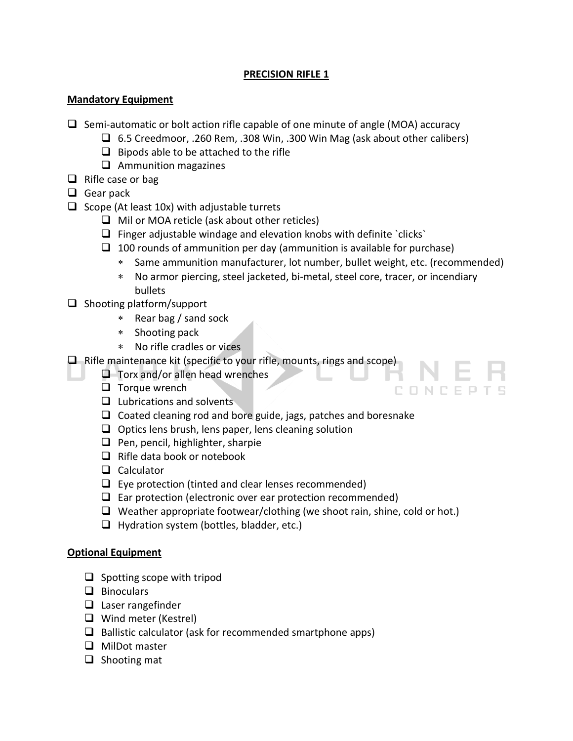# **PRECISION RIFLE 1**

# **Mandatory Equipment**

- $\Box$  Semi-automatic or bolt action rifle capable of one minute of angle (MOA) accuracy
	- $\Box$  6.5 Creedmoor, .260 Rem, .308 Win, .300 Win Mag (ask about other calibers)
	- $\Box$  Bipods able to be attached to the rifle
	- $\Box$  Ammunition magazines
- $\Box$  Rifle case or bag
- $\Box$  Gear pack
- $\Box$  Scope (At least 10x) with adjustable turrets
	- $\Box$  Mil or MOA reticle (ask about other reticles)
	- $\Box$  Finger adjustable windage and elevation knobs with definite `clicks`
	- $\Box$  100 rounds of ammunition per day (ammunition is available for purchase)
		- Same ammunition manufacturer, lot number, bullet weight, etc. (recommended)
		- No armor piercing, steel jacketed, bi-metal, steel core, tracer, or incendiary bullets
- $\Box$  Shooting platform/support
	- Rear bag / sand sock
	- \* Shooting pack
	- No rifle cradles or vices
- $\Box$  Rifle maintenance kit (specific to your rifle, mounts, rings and scope)
	- $\Box$  Torx and/or allen head wrenches
	- $\Box$  Torque wrench
	- $\Box$  Lubrications and solvents
	- $\Box$  Coated cleaning rod and bore guide, jags, patches and boresnake
	- $\Box$  Optics lens brush, lens paper, lens cleaning solution
	- $\Box$  Pen, pencil, highlighter, sharpie
	- $\Box$  Rifle data book or notebook
	- $\Box$  Calculator
	- $\Box$  Eye protection (tinted and clear lenses recommended)
	- $\Box$  Ear protection (electronic over ear protection recommended)
	- $\Box$  Weather appropriate footwear/clothing (we shoot rain, shine, cold or hot.)
	- $\Box$  Hydration system (bottles, bladder, etc.)

# **Optional Equipment**

- $\Box$  Spotting scope with tripod
- $\Box$  Binoculars
- $\Box$  Laser rangefinder
- $\Box$  Wind meter (Kestrel)
- $\Box$  Ballistic calculator (ask for recommended smartphone apps)
- $\Box$  MilDot master
- $\Box$  Shooting mat

CONCEPTS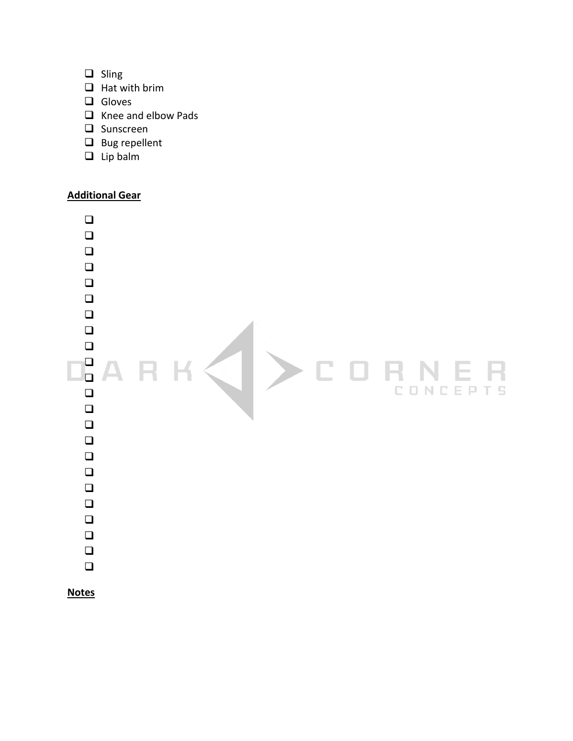- $\Box$  Sling
- $\Box$  Hat with brim
- $\Box$  Gloves
- $\Box$  Knee and elbow Pads
- $\Box$  Sunscreen
- $\Box$  Bug repellent
- $\Box$  Lip balm

### **Additional Gear**

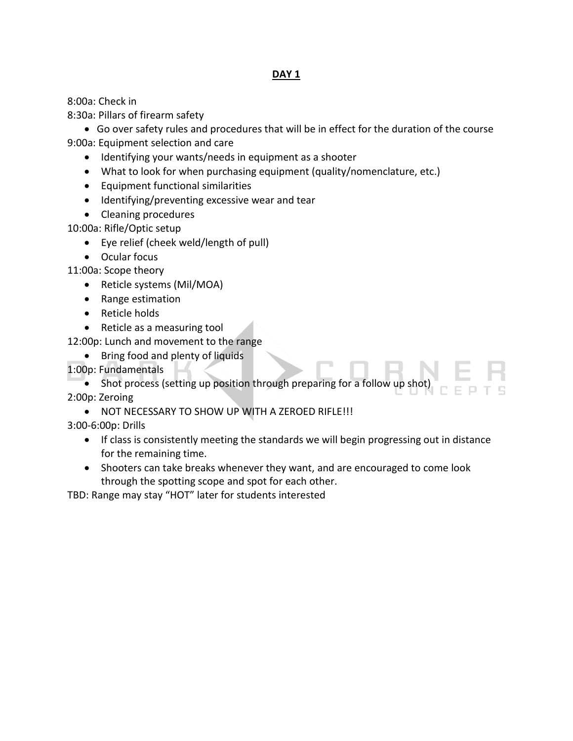### **DAY 1**

8:00a: Check in

8:30a: Pillars of firearm safety

 Go over safety rules and procedures that will be in effect for the duration of the course 9:00a: Equipment selection and care

- Identifying your wants/needs in equipment as a shooter
- What to look for when purchasing equipment (quality/nomenclature, etc.)
- Equipment functional similarities
- Identifying/preventing excessive wear and tear
- Cleaning procedures

10:00a: Rifle/Optic setup

- Eye relief (cheek weld/length of pull)
- Ocular focus

11:00a: Scope theory

- Reticle systems (Mil/MOA)
- Range estimation
- Reticle holds
- Reticle as a measuring tool

12:00p: Lunch and movement to the range

- Bring food and plenty of liquids
- 1:00p: Fundamentals

• Shot process (setting up position through preparing for a follow up shot 2:00p: Zeroing

NOT NECESSARY TO SHOW UP WITH A ZEROED RIFLE!!!

3:00-6:00p: Drills

- If class is consistently meeting the standards we will begin progressing out in distance for the remaining time.
- Shooters can take breaks whenever they want, and are encouraged to come look through the spotting scope and spot for each other.

TBD: Range may stay "HOT" later for students interested